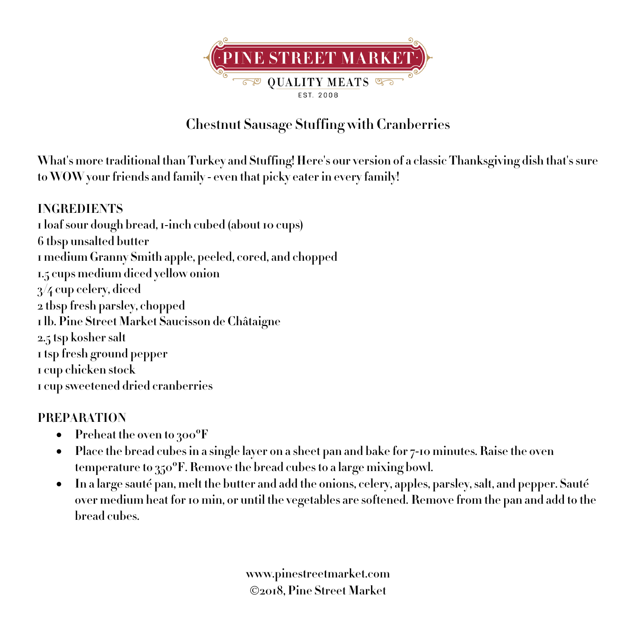

## **Chestnut Sausage Stuffing with Cranberries**

**What's more traditional than Turkey and Stuffing! Here's our version of a classic Thanksgiving dish that's sure to WOW your friends and family - even that picky eater in every family!**

## **INGREDIENTS 1 loaf sour dough bread, 1-inch cubed (about 10 cups) 6 tbsp unsalted butter 1 medium Granny Smith apple, peeled, cored, and chopped 1.5 cups medium diced yellow onion 3/4 cup celery, diced 2 tbsp fresh parsley, chopped 1 lb. Pine Street Market Saucisson de Châtaigne 2.5 tsp kosher salt 1 tsp fresh ground pepper 1 cup chicken stock 1 cup sweetened dried cranberries**

## **PREPARATION**

- **Preheat the oven to 300ºF**
- **Place the bread cubes in a single layer on a sheet pan and bake for 7-10 minutes. Raise the oven temperature to 350ºF. Remove the bread cubes to a large mixing bowl.**
- **In a large sauté pan, melt the butter and add the onions, celery, apples, parsley, salt, and pepper. Sauté over medium heat for 10 min, or until the vegetables are softened. Remove from the pan and add to the bread cubes.**

**www.pinestreetmarket.com** Ó**2018, Pine Street Market**